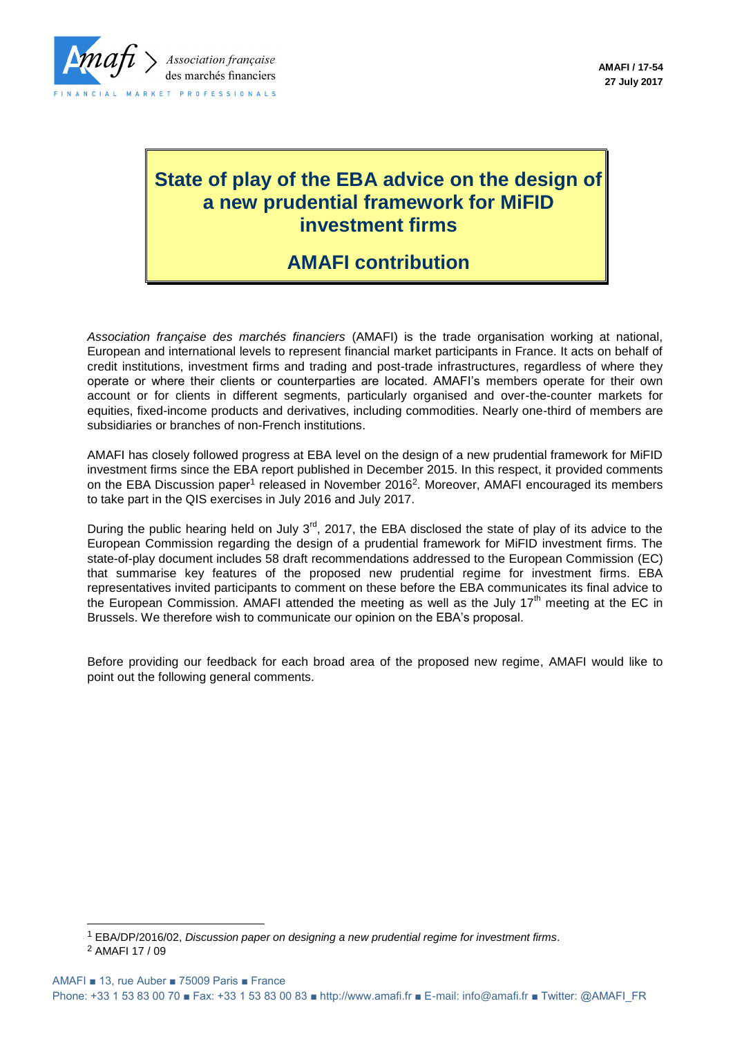

# **State of play of the EBA advice on the design of a new prudential framework for MiFID investment firms**

## **AMAFI contribution**

*Association française des marchés financiers* (AMAFI) is the trade organisation working at national, European and international levels to represent financial market participants in France. It acts on behalf of credit institutions, investment firms and trading and post-trade infrastructures, regardless of where they operate or where their clients or counterparties are located. AMAFI's members operate for their own account or for clients in different segments, particularly organised and over-the-counter markets for equities, fixed-income products and derivatives, including commodities. Nearly one-third of members are subsidiaries or branches of non-French institutions.

AMAFI has closely followed progress at EBA level on the design of a new prudential framework for MiFID investment firms since the EBA report published in December 2015. In this respect, it provided comments on the EBA Discussion paper<sup>1</sup> released in November 2016<sup>2</sup>. Moreover, AMAFI encouraged its members to take part in the QIS exercises in July 2016 and July 2017.

During the public hearing held on July 3<sup>rd</sup>, 2017, the EBA disclosed the state of play of its advice to the European Commission regarding the design of a prudential framework for MiFID investment firms. The state-of-play document includes 58 draft recommendations addressed to the European Commission (EC) that summarise key features of the proposed new prudential regime for investment firms. EBA representatives invited participants to comment on these before the EBA communicates its final advice to the European Commission. AMAFI attended the meeting as well as the July  $17<sup>th</sup>$  meeting at the EC in Brussels. We therefore wish to communicate our opinion on the EBA's proposal.

Before providing our feedback for each broad area of the proposed new regime, AMAFI would like to point out the following general comments.

l

<sup>1</sup> EBA/DP/2016/02, *Discussion paper on designing a new prudential regime for investment firms*.

<sup>2</sup> AMAFI 17 / 09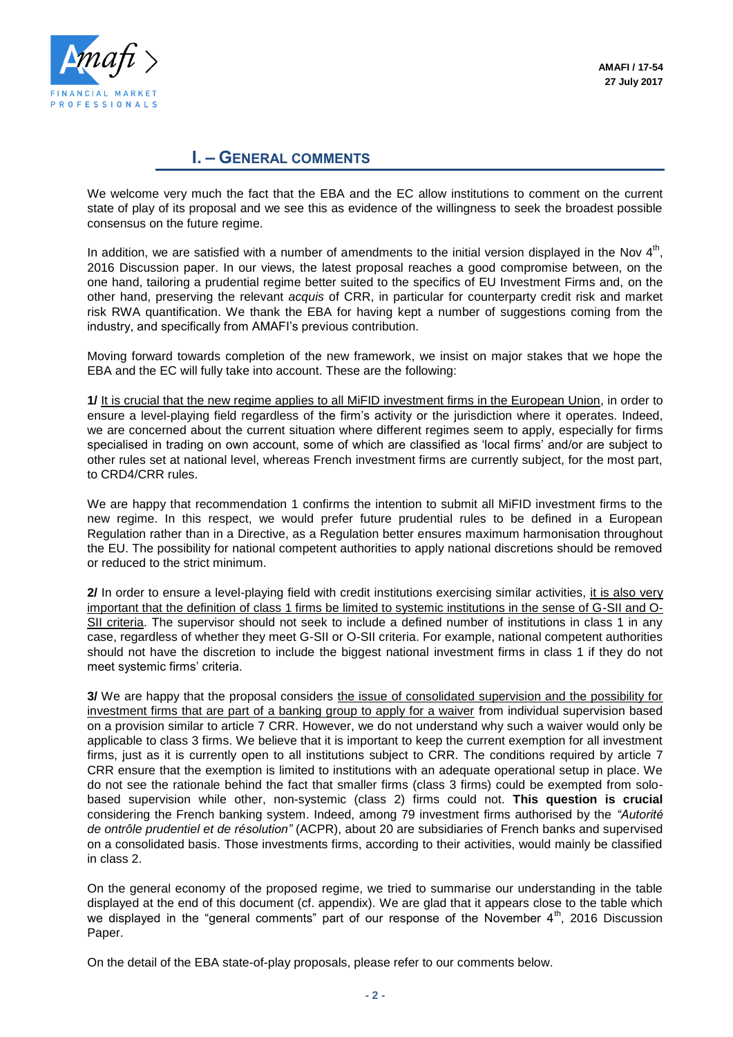

### **I. – GENERAL COMMENTS**

We welcome very much the fact that the EBA and the EC allow institutions to comment on the current state of play of its proposal and we see this as evidence of the willingness to seek the broadest possible consensus on the future regime.

In addition, we are satisfied with a number of amendments to the initial version displayed in the Nov  $4<sup>th</sup>$ , 2016 Discussion paper. In our views, the latest proposal reaches a good compromise between, on the one hand, tailoring a prudential regime better suited to the specifics of EU Investment Firms and, on the other hand, preserving the relevant *acquis* of CRR, in particular for counterparty credit risk and market risk RWA quantification. We thank the EBA for having kept a number of suggestions coming from the industry, and specifically from AMAFI's previous contribution.

Moving forward towards completion of the new framework, we insist on major stakes that we hope the EBA and the EC will fully take into account. These are the following:

**1/** It is crucial that the new regime applies to all MiFID investment firms in the European Union, in order to ensure a level-playing field regardless of the firm's activity or the jurisdiction where it operates. Indeed, we are concerned about the current situation where different regimes seem to apply, especially for firms specialised in trading on own account, some of which are classified as 'local firms' and/or are subject to other rules set at national level, whereas French investment firms are currently subject, for the most part, to CRD4/CRR rules.

We are happy that recommendation 1 confirms the intention to submit all MiFID investment firms to the new regime. In this respect, we would prefer future prudential rules to be defined in a European Regulation rather than in a Directive, as a Regulation better ensures maximum harmonisation throughout the EU. The possibility for national competent authorities to apply national discretions should be removed or reduced to the strict minimum.

**2/** In order to ensure a level-playing field with credit institutions exercising similar activities, it is also very important that the definition of class 1 firms be limited to systemic institutions in the sense of G-SII and O-SII criteria. The supervisor should not seek to include a defined number of institutions in class 1 in any case, regardless of whether they meet G-SII or O-SII criteria. For example, national competent authorities should not have the discretion to include the biggest national investment firms in class 1 if they do not meet systemic firms' criteria.

**3/** We are happy that the proposal considers the issue of consolidated supervision and the possibility for investment firms that are part of a banking group to apply for a waiver from individual supervision based on a provision similar to article 7 CRR. However, we do not understand why such a waiver would only be applicable to class 3 firms. We believe that it is important to keep the current exemption for all investment firms, just as it is currently open to all institutions subject to CRR. The conditions required by article 7 CRR ensure that the exemption is limited to institutions with an adequate operational setup in place. We do not see the rationale behind the fact that smaller firms (class 3 firms) could be exempted from solobased supervision while other, non-systemic (class 2) firms could not. **This question is crucial** considering the French banking system. Indeed, among 79 investment firms authorised by the *"Autorité de ontrôle prudentiel et de résolution"* (ACPR), about 20 are subsidiaries of French banks and supervised on a consolidated basis. Those investments firms, according to their activities, would mainly be classified in class 2.

On the general economy of the proposed regime, we tried to summarise our understanding in the table displayed at the end of this document (cf. appendix). We are glad that it appears close to the table which we displayed in the "general comments" part of our response of the November  $4<sup>th</sup>$ , 2016 Discussion Paper.

On the detail of the EBA state-of-play proposals, please refer to our comments below.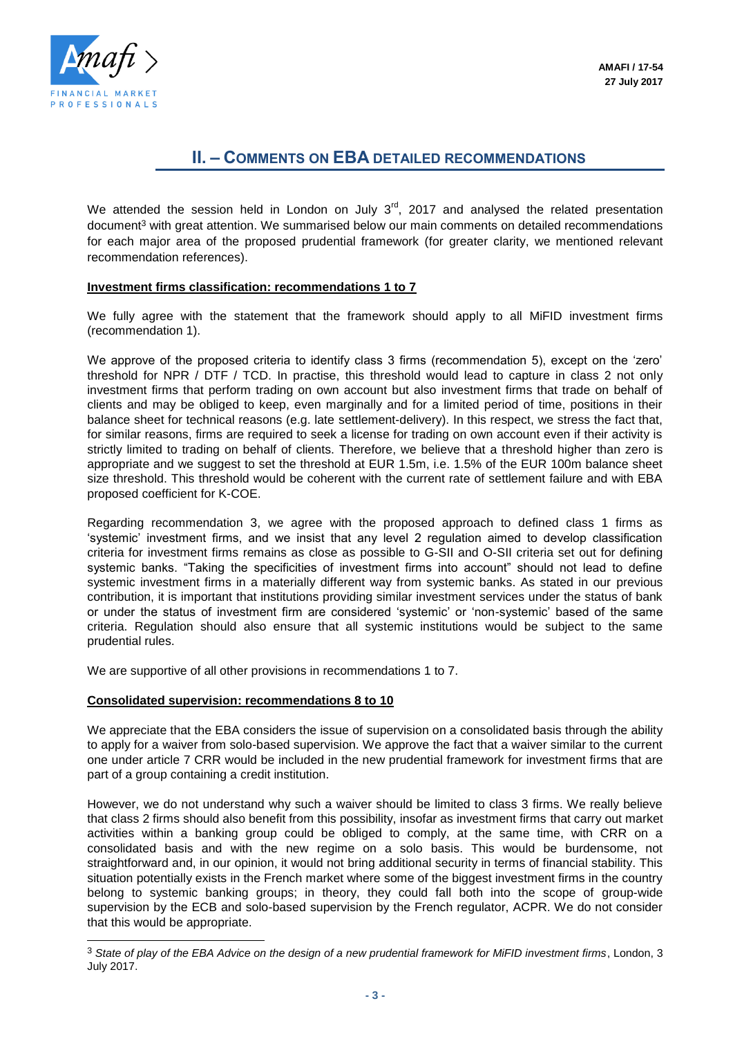

l

## **II. – COMMENTS ON EBA DETAILED RECOMMENDATIONS**

We attended the session held in London on July  $3<sup>rd</sup>$ , 2017 and analysed the related presentation document<sup>3</sup> with great attention. We summarised below our main comments on detailed recommendations for each major area of the proposed prudential framework (for greater clarity, we mentioned relevant recommendation references).

#### **Investment firms classification: recommendations 1 to 7**

We fully agree with the statement that the framework should apply to all MiFID investment firms (recommendation 1).

We approve of the proposed criteria to identify class 3 firms (recommendation 5), except on the 'zero' threshold for NPR / DTF / TCD. In practise, this threshold would lead to capture in class 2 not only investment firms that perform trading on own account but also investment firms that trade on behalf of clients and may be obliged to keep, even marginally and for a limited period of time, positions in their balance sheet for technical reasons (e.g. late settlement-delivery). In this respect, we stress the fact that, for similar reasons, firms are required to seek a license for trading on own account even if their activity is strictly limited to trading on behalf of clients. Therefore, we believe that a threshold higher than zero is appropriate and we suggest to set the threshold at EUR 1.5m, i.e. 1.5% of the EUR 100m balance sheet size threshold. This threshold would be coherent with the current rate of settlement failure and with EBA proposed coefficient for K-COE.

Regarding recommendation 3, we agree with the proposed approach to defined class 1 firms as 'systemic' investment firms, and we insist that any level 2 regulation aimed to develop classification criteria for investment firms remains as close as possible to G-SII and O-SII criteria set out for defining systemic banks. "Taking the specificities of investment firms into account" should not lead to define systemic investment firms in a materially different way from systemic banks. As stated in our previous contribution, it is important that institutions providing similar investment services under the status of bank or under the status of investment firm are considered 'systemic' or 'non-systemic' based of the same criteria. Regulation should also ensure that all systemic institutions would be subject to the same prudential rules.

We are supportive of all other provisions in recommendations 1 to 7.

#### **Consolidated supervision: recommendations 8 to 10**

We appreciate that the EBA considers the issue of supervision on a consolidated basis through the ability to apply for a waiver from solo-based supervision. We approve the fact that a waiver similar to the current one under article 7 CRR would be included in the new prudential framework for investment firms that are part of a group containing a credit institution.

However, we do not understand why such a waiver should be limited to class 3 firms. We really believe that class 2 firms should also benefit from this possibility, insofar as investment firms that carry out market activities within a banking group could be obliged to comply, at the same time, with CRR on a consolidated basis and with the new regime on a solo basis. This would be burdensome, not straightforward and, in our opinion, it would not bring additional security in terms of financial stability. This situation potentially exists in the French market where some of the biggest investment firms in the country belong to systemic banking groups; in theory, they could fall both into the scope of group-wide supervision by the ECB and solo-based supervision by the French regulator, ACPR. We do not consider that this would be appropriate.

<sup>3</sup> *State of play of the EBA Advice on the design of a new prudential framework for MiFID investment firms*, London, 3 July 2017.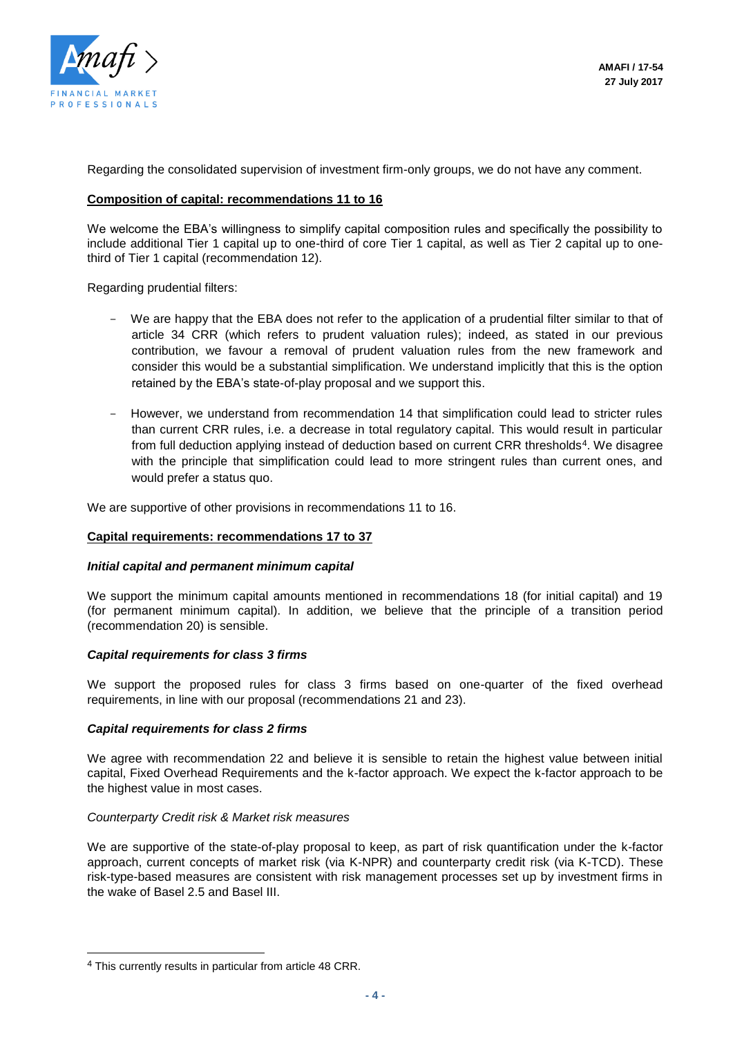

Regarding the consolidated supervision of investment firm-only groups, we do not have any comment.

#### **Composition of capital: recommendations 11 to 16**

We welcome the EBA's willingness to simplify capital composition rules and specifically the possibility to include additional Tier 1 capital up to one-third of core Tier 1 capital, as well as Tier 2 capital up to onethird of Tier 1 capital (recommendation 12).

Regarding prudential filters:

- We are happy that the EBA does not refer to the application of a prudential filter similar to that of article 34 CRR (which refers to prudent valuation rules); indeed, as stated in our previous contribution, we favour a removal of prudent valuation rules from the new framework and consider this would be a substantial simplification. We understand implicitly that this is the option retained by the EBA's state-of-play proposal and we support this.
- However, we understand from recommendation 14 that simplification could lead to stricter rules than current CRR rules, i.e. a decrease in total regulatory capital. This would result in particular from full deduction applying instead of deduction based on current CRR thresholds<sup>4</sup>. We disagree with the principle that simplification could lead to more stringent rules than current ones, and would prefer a status quo.

We are supportive of other provisions in recommendations 11 to 16.

#### **Capital requirements: recommendations 17 to 37**

#### *Initial capital and permanent minimum capital*

We support the minimum capital amounts mentioned in recommendations 18 (for initial capital) and 19 (for permanent minimum capital). In addition, we believe that the principle of a transition period (recommendation 20) is sensible.

#### *Capital requirements for class 3 firms*

We support the proposed rules for class 3 firms based on one-quarter of the fixed overhead requirements, in line with our proposal (recommendations 21 and 23).

#### *Capital requirements for class 2 firms*

We agree with recommendation 22 and believe it is sensible to retain the highest value between initial capital, Fixed Overhead Requirements and the k-factor approach. We expect the k-factor approach to be the highest value in most cases.

#### *Counterparty Credit risk & Market risk measures*

We are supportive of the state-of-play proposal to keep, as part of risk quantification under the k-factor approach, current concepts of market risk (via K-NPR) and counterparty credit risk (via K-TCD). These risk-type-based measures are consistent with risk management processes set up by investment firms in the wake of Basel 2.5 and Basel III.

l

<sup>4</sup> This currently results in particular from article 48 CRR.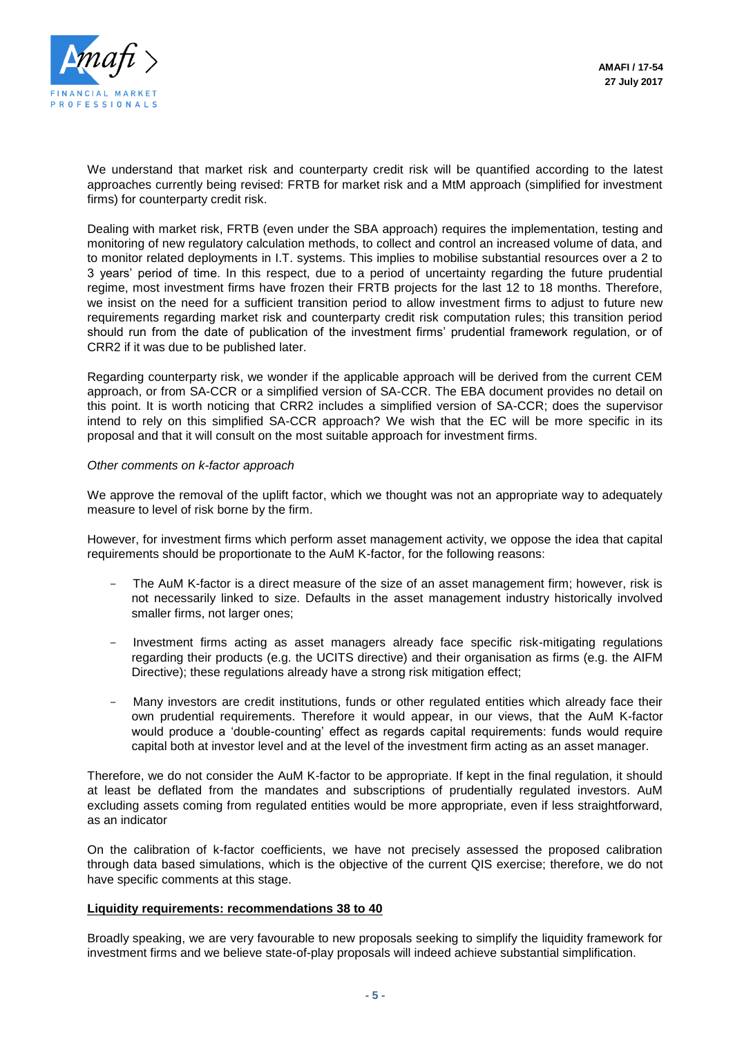

We understand that market risk and counterparty credit risk will be quantified according to the latest approaches currently being revised: FRTB for market risk and a MtM approach (simplified for investment firms) for counterparty credit risk.

Dealing with market risk, FRTB (even under the SBA approach) requires the implementation, testing and monitoring of new regulatory calculation methods, to collect and control an increased volume of data, and to monitor related deployments in I.T. systems. This implies to mobilise substantial resources over a 2 to 3 years' period of time. In this respect, due to a period of uncertainty regarding the future prudential regime, most investment firms have frozen their FRTB projects for the last 12 to 18 months. Therefore, we insist on the need for a sufficient transition period to allow investment firms to adjust to future new requirements regarding market risk and counterparty credit risk computation rules; this transition period should run from the date of publication of the investment firms' prudential framework regulation, or of CRR2 if it was due to be published later.

Regarding counterparty risk, we wonder if the applicable approach will be derived from the current CEM approach, or from SA-CCR or a simplified version of SA-CCR. The EBA document provides no detail on this point. It is worth noticing that CRR2 includes a simplified version of SA-CCR; does the supervisor intend to rely on this simplified SA-CCR approach? We wish that the EC will be more specific in its proposal and that it will consult on the most suitable approach for investment firms.

#### *Other comments on k-factor approach*

We approve the removal of the uplift factor, which we thought was not an appropriate way to adequately measure to level of risk borne by the firm.

However, for investment firms which perform asset management activity, we oppose the idea that capital requirements should be proportionate to the AuM K-factor, for the following reasons:

- The AuM K-factor is a direct measure of the size of an asset management firm; however, risk is not necessarily linked to size. Defaults in the asset management industry historically involved smaller firms, not larger ones;
- Investment firms acting as asset managers already face specific risk-mitigating regulations regarding their products (e.g. the UCITS directive) and their organisation as firms (e.g. the AIFM Directive); these regulations already have a strong risk mitigation effect;
- Many investors are credit institutions, funds or other regulated entities which already face their own prudential requirements. Therefore it would appear, in our views, that the AuM K-factor would produce a 'double-counting' effect as regards capital requirements: funds would require capital both at investor level and at the level of the investment firm acting as an asset manager.

Therefore, we do not consider the AuM K-factor to be appropriate. If kept in the final regulation, it should at least be deflated from the mandates and subscriptions of prudentially regulated investors. AuM excluding assets coming from regulated entities would be more appropriate, even if less straightforward, as an indicator

On the calibration of k-factor coefficients, we have not precisely assessed the proposed calibration through data based simulations, which is the objective of the current QIS exercise; therefore, we do not have specific comments at this stage.

#### **Liquidity requirements: recommendations 38 to 40**

Broadly speaking, we are very favourable to new proposals seeking to simplify the liquidity framework for investment firms and we believe state-of-play proposals will indeed achieve substantial simplification.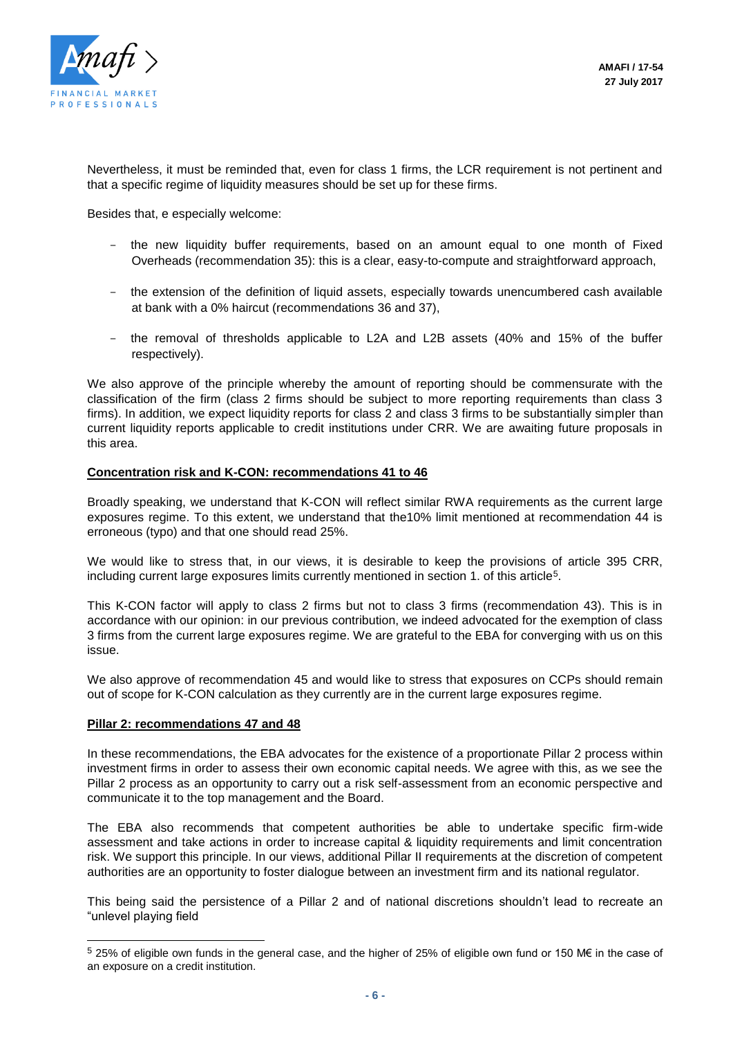

Nevertheless, it must be reminded that, even for class 1 firms, the LCR requirement is not pertinent and that a specific regime of liquidity measures should be set up for these firms.

Besides that, e especially welcome:

- the new liquidity buffer requirements, based on an amount equal to one month of Fixed Overheads (recommendation 35): this is a clear, easy-to-compute and straightforward approach,
- the extension of the definition of liquid assets, especially towards unencumbered cash available at bank with a 0% haircut (recommendations 36 and 37),
- the removal of thresholds applicable to L2A and L2B assets (40% and 15% of the buffer respectively).

We also approve of the principle whereby the amount of reporting should be commensurate with the classification of the firm (class 2 firms should be subject to more reporting requirements than class 3 firms). In addition, we expect liquidity reports for class 2 and class 3 firms to be substantially simpler than current liquidity reports applicable to credit institutions under CRR. We are awaiting future proposals in this area.

#### **Concentration risk and K-CON: recommendations 41 to 46**

Broadly speaking, we understand that K-CON will reflect similar RWA requirements as the current large exposures regime. To this extent, we understand that the10% limit mentioned at recommendation 44 is erroneous (typo) and that one should read 25%.

We would like to stress that, in our views, it is desirable to keep the provisions of article 395 CRR, including current large exposures limits currently mentioned in section 1. of this article<sup>5</sup>.

This K-CON factor will apply to class 2 firms but not to class 3 firms (recommendation 43). This is in accordance with our opinion: in our previous contribution, we indeed advocated for the exemption of class 3 firms from the current large exposures regime. We are grateful to the EBA for converging with us on this issue.

We also approve of recommendation 45 and would like to stress that exposures on CCPs should remain out of scope for K-CON calculation as they currently are in the current large exposures regime.

#### **Pillar 2: recommendations 47 and 48**

l

In these recommendations, the EBA advocates for the existence of a proportionate Pillar 2 process within investment firms in order to assess their own economic capital needs. We agree with this, as we see the Pillar 2 process as an opportunity to carry out a risk self-assessment from an economic perspective and communicate it to the top management and the Board.

The EBA also recommends that competent authorities be able to undertake specific firm-wide assessment and take actions in order to increase capital & liquidity requirements and limit concentration risk. We support this principle. In our views, additional Pillar II requirements at the discretion of competent authorities are an opportunity to foster dialogue between an investment firm and its national regulator.

This being said the persistence of a Pillar 2 and of national discretions shouldn't lead to recreate an "unlevel playing field

<sup>5</sup> 25% of eligible own funds in the general case, and the higher of 25% of eligible own fund or 150 M€ in the case of an exposure on a credit institution.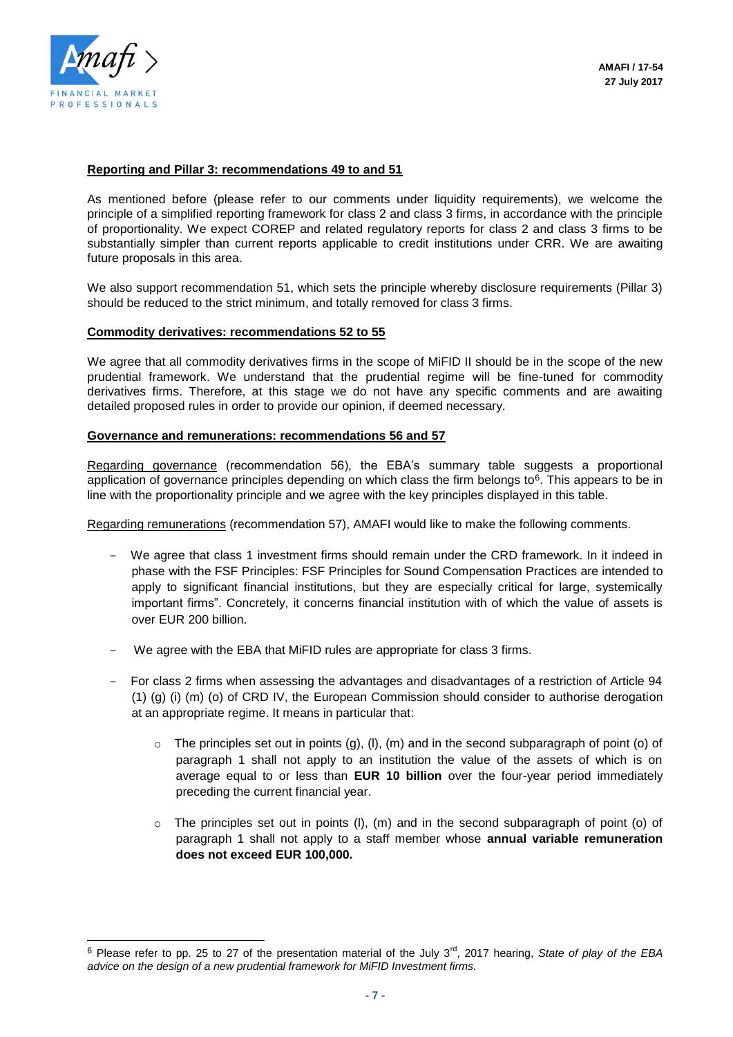

l

#### **Reporting and Pillar 3: recommendations 49 to and 51**

As mentioned before (please refer to our comments under liquidity requirements), we welcome the principle of a simplified reporting framework for class 2 and class 3 firms, in accordance with the principle of proportionality. We expect COREP and related regulatory reports for class 2 and class 3 firms to be substantially simpler than current reports applicable to credit institutions under CRR. We are awaiting future proposals in this area.

We also support recommendation 51, which sets the principle whereby disclosure requirements (Pillar 3) should be reduced to the strict minimum, and totally removed for class 3 firms.

#### **Commodity derivatives: recommendations 52 to 55**

We agree that all commodity derivatives firms in the scope of MiFID II should be in the scope of the new prudential framework. We understand that the prudential regime will be fine-tuned for commodity derivatives firms. Therefore, at this stage we do not have any specific comments and are awaiting detailed proposed rules in order to provide our opinion, if deemed necessary.

#### **Governance and remunerations: recommendations 56 and 57**

Regarding governance (recommendation 56), the EBA's summary table suggests a proportional application of governance principles depending on which class the firm belongs to<sup>6</sup>. This appears to be in line with the proportionality principle and we agree with the key principles displayed in this table.

Regarding remunerations (recommendation 57), AMAFI would like to make the following comments.

- We agree that class 1 investment firms should remain under the CRD framework. In it indeed in phase with the FSF Principles: FSF Principles for Sound Compensation Practices are intended to apply to significant financial institutions, but they are especially critical for large, systemically important firms". Concretely, it concerns financial institution with of which the value of assets is over EUR 200 billion.
- We agree with the EBA that MiFID rules are appropriate for class 3 firms.
- For class 2 firms when assessing the advantages and disadvantages of a restriction of Article 94  $(1)$  (a) (i) (m) (o) of CRD IV, the European Commission should consider to authorise derogation at an appropriate regime. It means in particular that:
	- $\circ$  The principles set out in points (g), (l), (m) and in the second subparagraph of point (o) of paragraph 1 shall not apply to an institution the value of the assets of which is on average equal to or less than **EUR 10 billion** over the four-year period immediately preceding the current financial year.
	- o The principles set out in points (l), (m) and in the second subparagraph of point (o) of paragraph 1 shall not apply to a staff member whose **annual variable remuneration does not exceed EUR 100,000.**

<sup>&</sup>lt;sup>6</sup> Please refer to pp. 25 to 27 of the presentation material of the July 3<sup>rd</sup>, 2017 hearing, *State of play of the EBA advice on the design of a new prudential framework for MiFID Investment firms.*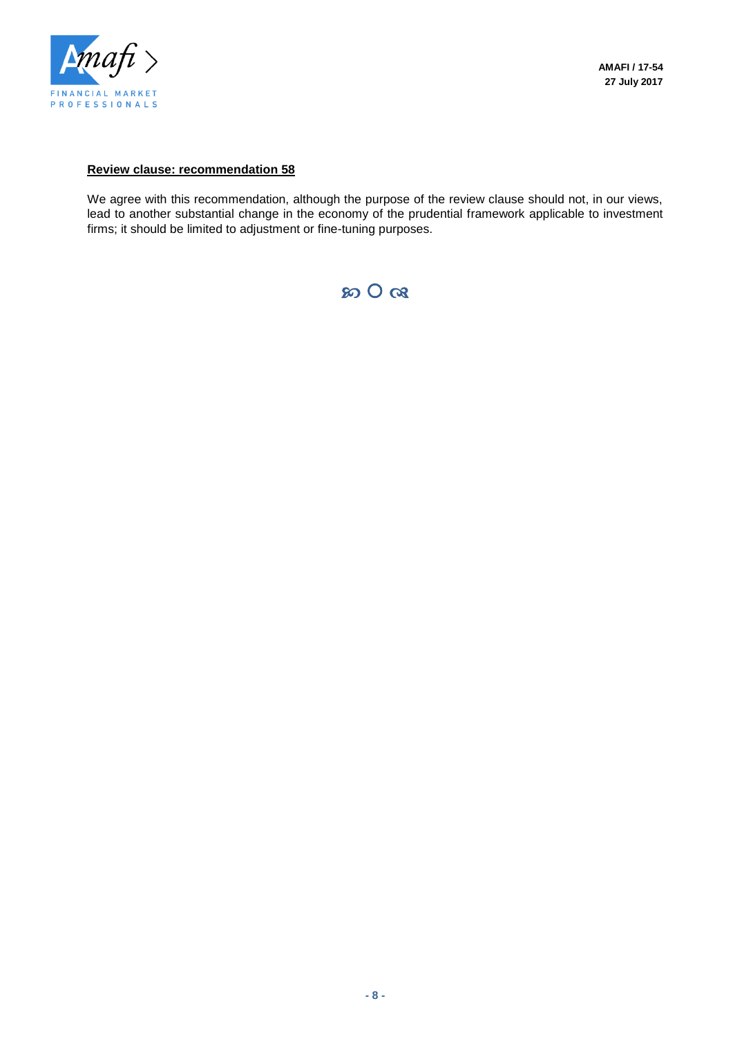

#### **Review clause: recommendation 58**

We agree with this recommendation, although the purpose of the review clause should not, in our views, lead to another substantial change in the economy of the prudential framework applicable to investment firms; it should be limited to adjustment or fine-tuning purposes.